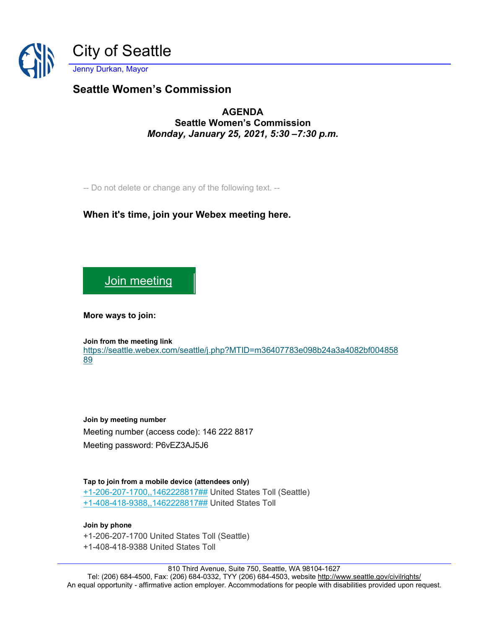

## **Seattle Women's Commission**

**AGENDA Seattle Women's Commission** *Monday, January 25, 2021, 5:30 –7:30 p.m.*

-- Do not delete or change any of the following text. --

## **When it's time, join your Webex meeting here.**

[Join meeting](https://seattle.webex.com/seattle/j.php?MTID=m36407783e098b24a3a4082bf00485889)

**More ways to join:** 

**Join from the meeting link**  [https://seattle.webex.com/seattle/j.php?MTID=m36407783e098b24a3a4082bf004858](https://seattle.webex.com/seattle/j.php?MTID=m36407783e098b24a3a4082bf00485889) [89](https://seattle.webex.com/seattle/j.php?MTID=m36407783e098b24a3a4082bf00485889)

**Join by meeting number**  Meeting number (access code): 146 222 8817 Meeting password: P6vEZ3AJ5J6

**Tap to join from a mobile device (attendees only)** [+1-206-207-1700,,1462228817##](tel:%2B1-206-207-1700,,*01*1462228817%23%23*01*) United States Toll (Seattle) [+1-408-418-9388,,1462228817##](tel:%2B1-408-418-9388,,*01*1462228817%23%23*01*) United States Toll

**Join by phone** +1-206-207-1700 United States Toll (Seattle) +1-408-418-9388 United States Toll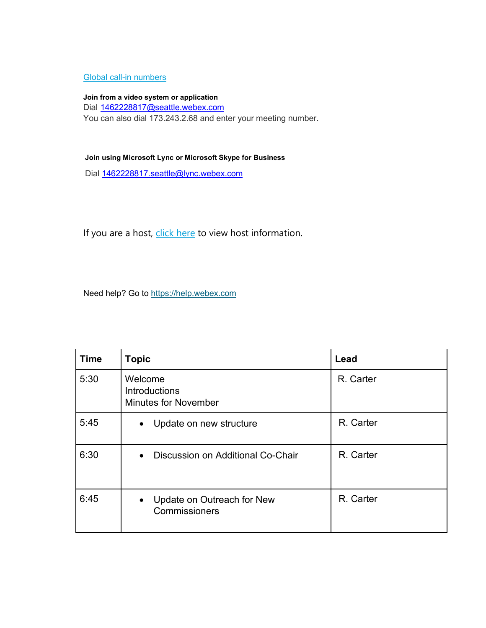## [Global call-in numbers](https://seattle.webex.com/seattle/globalcallin.php?MTID=m0dc36a8075998da4ac842fcbfa61d803)

**Join from a video system or application** Dial [1462228817@seattle.webex.com](mailto:1462228817@seattle.webex.com) You can also dial 173.243.2.68 and enter your meeting number.

## **Join using Microsoft Lync or Microsoft Skype for Business**

Dial [1462228817.seattle@lync.webex.com](mailto:1462228817.seattle@lync.webex.com)

If you are a host, [click here](https://seattle.webex.com/seattle/j.php?MTID=md84e0585937d654e04ecf6fd243360b4) to view host information.

Need help? Go to [https://help.webex.com](https://help.webex.com/)

| <b>Time</b> | <b>Topic</b>                                                   | Lead      |
|-------------|----------------------------------------------------------------|-----------|
| 5:30        | Welcome<br><b>Introductions</b><br><b>Minutes for November</b> | R. Carter |
| 5:45        | Update on new structure<br>$\bullet$                           | R. Carter |
| 6:30        | Discussion on Additional Co-Chair<br>$\bullet$                 | R. Carter |
| 6:45        | • Update on Outreach for New<br>Commissioners                  | R. Carter |